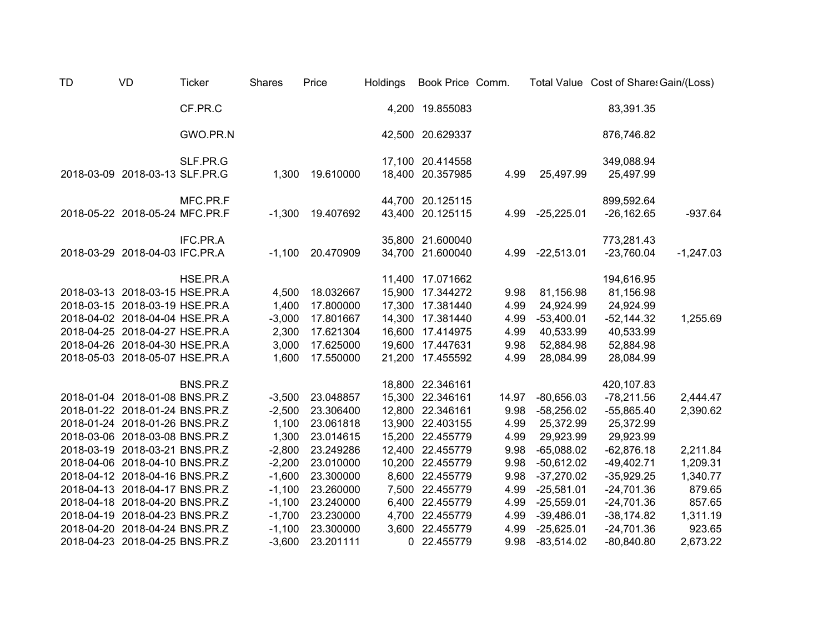| <b>TD</b> | VD                             | <b>Ticker</b> | <b>Shares</b> | Price     | Holdings | Book Price Comm. |       |              | Total Value Cost of Share: Gain/(Loss) |             |
|-----------|--------------------------------|---------------|---------------|-----------|----------|------------------|-------|--------------|----------------------------------------|-------------|
|           |                                | CF.PR.C       |               |           |          | 4,200 19.855083  |       |              | 83,391.35                              |             |
|           |                                | GWO.PR.N      |               |           |          | 42,500 20.629337 |       |              | 876,746.82                             |             |
|           |                                | SLF.PR.G      |               |           |          | 17,100 20.414558 |       |              | 349,088.94                             |             |
|           | 2018-03-09 2018-03-13 SLF.PR.G |               | 1,300         | 19.610000 | 18,400   | 20.357985        | 4.99  | 25,497.99    | 25,497.99                              |             |
|           |                                | MFC.PR.F      |               |           |          | 44,700 20.125115 |       |              | 899,592.64                             |             |
|           | 2018-05-22 2018-05-24 MFC.PR.F |               | $-1,300$      | 19.407692 | 43,400   | 20.125115        | 4.99  | $-25,225.01$ | $-26,162.65$                           | $-937.64$   |
|           |                                | IFC.PR.A      |               |           |          | 35,800 21.600040 |       |              | 773,281.43                             |             |
|           | 2018-03-29 2018-04-03 IFC.PR.A |               | $-1,100$      | 20.470909 |          | 34,700 21.600040 | 4.99  | $-22,513.01$ | $-23,760.04$                           | $-1,247.03$ |
|           |                                | HSE.PR.A      |               |           |          | 11,400 17.071662 |       |              | 194,616.95                             |             |
|           | 2018-03-13 2018-03-15 HSE.PR.A |               | 4,500         | 18.032667 |          | 15,900 17.344272 | 9.98  | 81,156.98    | 81,156.98                              |             |
|           | 2018-03-15 2018-03-19 HSE.PR.A |               | 1,400         | 17.800000 |          | 17,300 17.381440 | 4.99  | 24,924.99    | 24,924.99                              |             |
|           | 2018-04-02 2018-04-04 HSE.PR.A |               | $-3,000$      | 17.801667 |          | 14,300 17.381440 | 4.99  | $-53,400.01$ | $-52,144.32$                           | 1,255.69    |
|           | 2018-04-25 2018-04-27 HSE.PR.A |               | 2,300         | 17.621304 |          | 16,600 17.414975 | 4.99  | 40,533.99    | 40,533.99                              |             |
|           | 2018-04-26 2018-04-30 HSE.PR.A |               | 3,000         | 17.625000 | 19,600   | 17.447631        | 9.98  | 52,884.98    | 52,884.98                              |             |
|           | 2018-05-03 2018-05-07 HSE.PR.A |               | 1,600         | 17.550000 |          | 21,200 17.455592 | 4.99  | 28,084.99    | 28,084.99                              |             |
|           |                                | BNS.PR.Z      |               |           |          | 18,800 22.346161 |       |              | 420,107.83                             |             |
|           | 2018-01-04 2018-01-08 BNS.PR.Z |               | $-3,500$      | 23.048857 |          | 15,300 22.346161 | 14.97 | $-80,656.03$ | $-78,211.56$                           | 2,444.47    |
|           | 2018-01-22 2018-01-24 BNS.PR.Z |               | $-2,500$      | 23.306400 |          | 12,800 22.346161 | 9.98  | $-58,256.02$ | $-55,865.40$                           | 2,390.62    |
|           | 2018-01-24 2018-01-26 BNS.PR.Z |               | 1,100         | 23.061818 | 13,900   | 22.403155        | 4.99  | 25,372.99    | 25,372.99                              |             |
|           | 2018-03-06 2018-03-08 BNS.PR.Z |               | 1,300         | 23.014615 |          | 15,200 22.455779 | 4.99  | 29,923.99    | 29,923.99                              |             |
|           | 2018-03-19 2018-03-21 BNS.PR.Z |               | $-2,800$      | 23.249286 |          | 12,400 22.455779 | 9.98  | $-65,088.02$ | $-62,876.18$                           | 2,211.84    |
|           | 2018-04-06 2018-04-10 BNS.PR.Z |               | $-2,200$      | 23.010000 |          | 10,200 22.455779 | 9.98  | $-50,612.02$ | $-49,402.71$                           | 1,209.31    |
|           | 2018-04-12 2018-04-16 BNS.PR.Z |               | $-1,600$      | 23.300000 |          | 8,600 22.455779  | 9.98  | $-37,270.02$ | $-35,929.25$                           | 1,340.77    |
|           | 2018-04-13 2018-04-17 BNS.PR.Z |               | $-1,100$      | 23.260000 |          | 7,500 22.455779  | 4.99  | $-25,581.01$ | $-24,701.36$                           | 879.65      |
|           | 2018-04-18 2018-04-20 BNS.PR.Z |               | $-1,100$      | 23.240000 |          | 6,400 22.455779  | 4.99  | $-25,559.01$ | $-24,701.36$                           | 857.65      |
|           | 2018-04-19 2018-04-23 BNS.PR.Z |               | $-1,700$      | 23.230000 | 4,700    | 22.455779        | 4.99  | $-39,486.01$ | $-38,174.82$                           | 1,311.19    |
|           | 2018-04-20 2018-04-24 BNS.PR.Z |               | $-1,100$      | 23.300000 | 3,600    | 22.455779        | 4.99  | $-25,625.01$ | $-24,701.36$                           | 923.65      |
|           | 2018-04-23 2018-04-25 BNS.PR.Z |               | $-3,600$      | 23.201111 |          | 0 22.455779      | 9.98  | $-83,514.02$ | $-80,840.80$                           | 2,673.22    |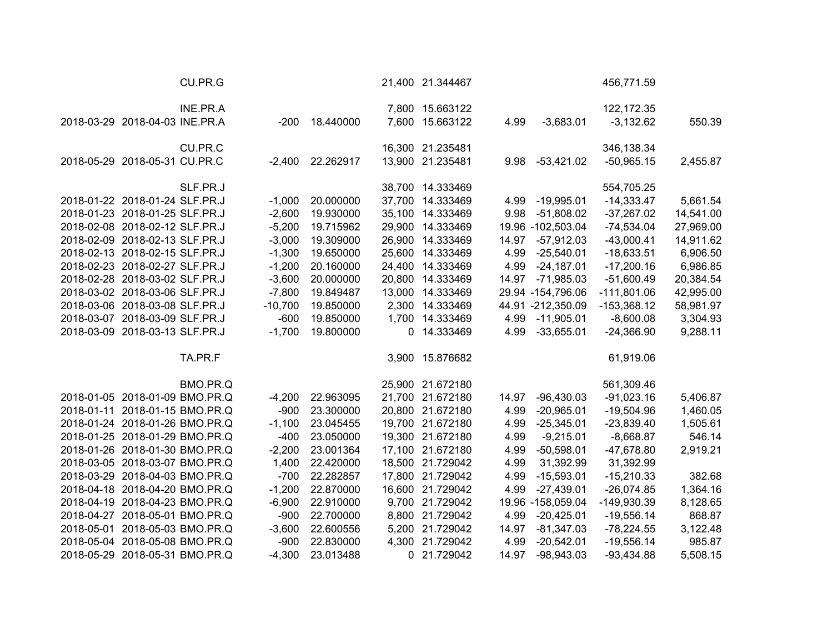| CU.PR.G                        |           |                  |        | 21,400 21.344467 |       |                     | 456,771.59    |           |
|--------------------------------|-----------|------------------|--------|------------------|-------|---------------------|---------------|-----------|
| INE.PR.A                       |           |                  |        | 7,800 15.663122  |       |                     | 122, 172. 35  |           |
| 2018-03-29 2018-04-03 INE.PR.A | -200      | 18.440000        |        | 7,600 15.663122  | 4.99  | $-3,683.01$         | $-3,132.62$   | 550.39    |
| CU.PR.C                        |           |                  |        | 16,300 21.235481 |       |                     | 346,138.34    |           |
| 2018-05-29 2018-05-31 CU.PR.C  |           | -2,400 22.262917 |        | 13,900 21.235481 | 9.98  | $-53,421.02$        | $-50,965.15$  | 2,455.87  |
| SLF.PR.J                       |           |                  |        | 38,700 14.333469 |       |                     | 554,705.25    |           |
| 2018-01-22 2018-01-24 SLF.PR.J | $-1,000$  | 20.000000        |        | 37,700 14.333469 | 4.99  | $-19,995.01$        | $-14,333.47$  | 5,661.54  |
| 2018-01-23 2018-01-25 SLF.PR.J | $-2,600$  | 19.930000        | 35,100 | 14.333469        | 9.98  | $-51,808.02$        | $-37,267.02$  | 14,541.00 |
| 2018-02-08 2018-02-12 SLF.PR.J | $-5,200$  | 19.715962        | 29,900 | 14.333469        |       | 19.96 -102,503.04   | $-74,534.04$  | 27,969.00 |
| 2018-02-09 2018-02-13 SLF.PR.J | $-3,000$  | 19.309000        | 26,900 | 14.333469        | 14.97 | $-57,912.03$        | $-43,000.41$  | 14,911.62 |
| 2018-02-13 2018-02-15 SLF.PR.J | $-1,300$  | 19.650000        | 25,600 | 14.333469        | 4.99  | $-25,540.01$        | $-18,633.51$  | 6,906.50  |
| 2018-02-23 2018-02-27 SLF.PR.J | $-1,200$  | 20.160000        |        | 24,400 14.333469 | 4.99  | $-24,187.01$        | $-17,200.16$  | 6,986.85  |
| 2018-02-28 2018-03-02 SLF.PR.J | $-3,600$  | 20.000000        |        | 20,800 14.333469 | 14.97 | $-71,985.03$        | $-51,600.49$  | 20,384.54 |
| 2018-03-02 2018-03-06 SLF.PR.J | $-7,800$  | 19.849487        | 13,000 | 14.333469        |       | 29.94 - 154, 796.06 | $-111,801.06$ | 42,995.00 |
| 2018-03-06 2018-03-08 SLF.PR.J | $-10,700$ | 19.850000        | 2,300  | 14.333469        |       | 44.91 -212,350.09   | $-153,368.12$ | 58,981.97 |
| 2018-03-07 2018-03-09 SLF.PR.J | $-600$    | 19.850000        | 1,700  | 14.333469        |       | 4.99 -11,905.01     | $-8,600.08$   | 3,304.93  |
| 2018-03-09 2018-03-13 SLF.PR.J | $-1,700$  | 19.800000        | 0      | 14.333469        | 4.99  | $-33,655.01$        | $-24,366.90$  | 9,288.11  |
| TA.PR.F                        |           |                  |        | 3,900 15.876682  |       |                     | 61,919.06     |           |
| BMO.PR.Q                       |           |                  |        | 25,900 21.672180 |       |                     | 561,309.46    |           |
| 2018-01-05 2018-01-09 BMO.PR.Q | $-4,200$  | 22.963095        | 21,700 | 21.672180        | 14.97 | $-96,430.03$        | $-91,023.16$  | 5,406.87  |
| 2018-01-11 2018-01-15 BMO.PR.Q | $-900$    | 23.300000        |        | 20,800 21.672180 | 4.99  | $-20,965.01$        | $-19,504.96$  | 1,460.05  |
| 2018-01-24 2018-01-26 BMO.PR.Q | $-1,100$  | 23.045455        | 19,700 | 21.672180        | 4.99  | $-25,345.01$        | $-23,839.40$  | 1,505.61  |
| 2018-01-25 2018-01-29 BMO.PR.Q | $-400$    | 23.050000        |        | 19,300 21.672180 | 4.99  | $-9,215.01$         | $-8,668.87$   | 546.14    |
| 2018-01-26 2018-01-30 BMO.PR.Q | $-2,200$  | 23.001364        | 17,100 | 21.672180        | 4.99  | $-50,598.01$        | -47,678.80    | 2,919.21  |
| 2018-03-05 2018-03-07 BMO.PR.Q | 1,400     | 22.420000        | 18,500 | 21.729042        | 4.99  | 31,392.99           | 31,392.99     |           |
| 2018-03-29 2018-04-03 BMO.PR.Q | $-700$    | 22.282857        | 17,800 | 21.729042        | 4.99  | $-15,593.01$        | $-15,210.33$  | 382.68    |
| 2018-04-18 2018-04-20 BMO.PR.Q | $-1,200$  | 22.870000        |        | 16,600 21.729042 | 4.99  | $-27,439.01$        | $-26,074.85$  | 1,364.16  |
| 2018-04-19 2018-04-23 BMO.PR.Q | $-6,900$  | 22.910000        |        | 9,700 21.729042  |       | 19.96 -158,059.04   | -149,930.39   | 8,128.65  |
| 2018-04-27 2018-05-01 BMO.PR.Q | $-900$    | 22.700000        |        | 8,800 21.729042  | 4.99  | $-20,425.01$        | $-19,556.14$  | 868.87    |
| 2018-05-01 2018-05-03 BMO.PR.Q | $-3,600$  | 22.600556        |        | 5,200 21.729042  | 14.97 | $-81,347.03$        | $-78,224.55$  | 3,122.48  |
| 2018-05-04 2018-05-08 BMO.PR.Q | $-900$    | 22.830000        | 4,300  | 21.729042        | 4.99  | $-20,542.01$        | $-19,556.14$  | 985.87    |
| 2018-05-29 2018-05-31 BMO.PR.Q | $-4,300$  | 23.013488        | 0      | 21.729042        | 14.97 | $-98,943.03$        | $-93,434.88$  | 5,508.15  |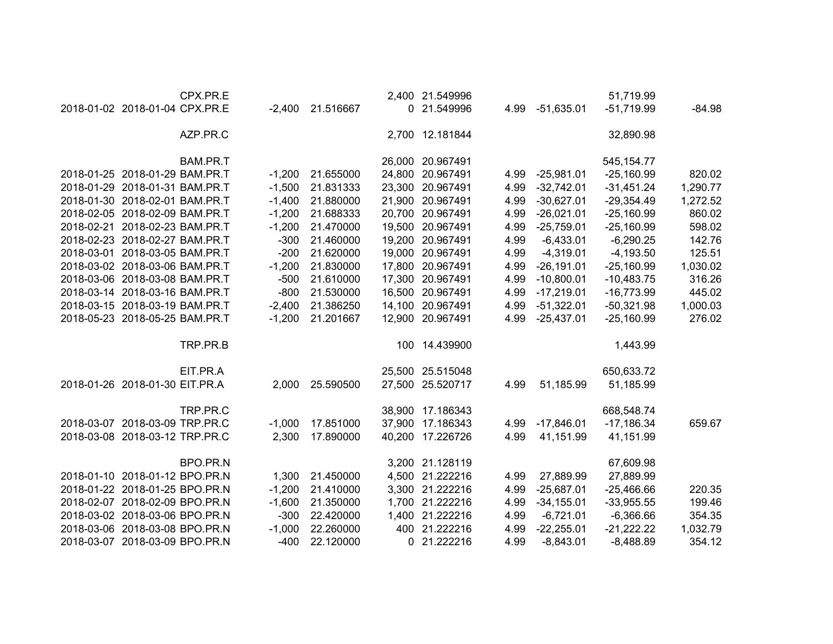|                                | CPX.PR.E |          |           |        | 2,400 21.549996  |      |              | 51,719.99    |          |
|--------------------------------|----------|----------|-----------|--------|------------------|------|--------------|--------------|----------|
| 2018-01-02 2018-01-04 CPX.PR.E |          | $-2,400$ | 21.516667 | 0      | 21.549996        | 4.99 | $-51,635.01$ | $-51,719.99$ | $-84.98$ |
|                                | AZP.PR.C |          |           |        | 2,700 12.181844  |      |              | 32,890.98    |          |
|                                | BAM.PR.T |          |           |        | 26,000 20.967491 |      |              | 545, 154. 77 |          |
| 2018-01-25 2018-01-29 BAM.PR.T |          | $-1,200$ | 21.655000 |        | 24,800 20.967491 | 4.99 | $-25,981.01$ | $-25,160.99$ | 820.02   |
| 2018-01-29 2018-01-31 BAM.PR.T |          | $-1,500$ | 21.831333 | 23,300 | 20.967491        | 4.99 | $-32,742.01$ | $-31,451.24$ | 1,290.77 |
| 2018-01-30 2018-02-01 BAM.PR.T |          | $-1,400$ | 21.880000 | 21,900 | 20.967491        | 4.99 | $-30,627.01$ | $-29,354.49$ | 1,272.52 |
| 2018-02-05 2018-02-09 BAM.PR.T |          | $-1,200$ | 21.688333 | 20,700 | 20.967491        | 4.99 | $-26,021.01$ | $-25,160.99$ | 860.02   |
| 2018-02-21 2018-02-23 BAM.PR.T |          | $-1,200$ | 21.470000 | 19,500 | 20.967491        | 4.99 | $-25,759.01$ | $-25,160.99$ | 598.02   |
| 2018-02-23 2018-02-27 BAM.PR.T |          | $-300$   | 21.460000 | 19,200 | 20.967491        | 4.99 | $-6,433.01$  | $-6,290.25$  | 142.76   |
| 2018-03-01 2018-03-05 BAM.PR.T |          | $-200$   | 21.620000 | 19,000 | 20.967491        | 4.99 | $-4,319.01$  | $-4,193.50$  | 125.51   |
| 2018-03-02 2018-03-06 BAM.PR.T |          | $-1,200$ | 21.830000 |        | 17,800 20.967491 | 4.99 | $-26,191.01$ | $-25,160.99$ | 1,030.02 |
| 2018-03-06 2018-03-08 BAM.PR.T |          | $-500$   | 21.610000 | 17,300 | 20.967491        | 4.99 | $-10,800.01$ | $-10,483.75$ | 316.26   |
| 2018-03-14 2018-03-16 BAM.PR.T |          | $-800$   | 21.530000 |        | 16,500 20.967491 | 4.99 | $-17,219.01$ | $-16,773.99$ | 445.02   |
| 2018-03-15 2018-03-19 BAM.PR.T |          | $-2,400$ | 21.386250 |        | 14,100 20.967491 | 4.99 | $-51,322.01$ | $-50,321.98$ | 1,000.03 |
| 2018-05-23 2018-05-25 BAM.PR.T |          | $-1,200$ | 21.201667 |        | 12,900 20.967491 | 4.99 | $-25,437.01$ | $-25,160.99$ | 276.02   |
|                                | TRP.PR.B |          |           |        | 100 14.439900    |      |              | 1,443.99     |          |
|                                | EIT.PR.A |          |           |        | 25,500 25.515048 |      |              | 650,633.72   |          |
| 2018-01-26 2018-01-30 EIT.PR.A |          | 2,000    | 25.590500 |        | 27,500 25.520717 | 4.99 | 51,185.99    | 51,185.99    |          |
|                                | TRP.PR.C |          |           | 38,900 | 17.186343        |      |              | 668,548.74   |          |
| 2018-03-07 2018-03-09 TRP.PR.C |          | $-1,000$ | 17.851000 | 37,900 | 17.186343        | 4.99 | $-17,846.01$ | $-17,186.34$ | 659.67   |
| 2018-03-08 2018-03-12 TRP.PR.C |          | 2,300    | 17.890000 | 40,200 | 17.226726        | 4.99 | 41,151.99    | 41,151.99    |          |
|                                | BPO.PR.N |          |           |        | 3,200 21.128119  |      |              | 67,609.98    |          |
| 2018-01-10 2018-01-12 BPO.PR.N |          | 1,300    | 21.450000 |        | 4,500 21.222216  | 4.99 | 27,889.99    | 27,889.99    |          |
| 2018-01-22 2018-01-25 BPO.PR.N |          | $-1,200$ | 21.410000 |        | 3,300 21.222216  | 4.99 | $-25,687.01$ | $-25,466.66$ | 220.35   |
| 2018-02-07 2018-02-09 BPO.PR.N |          | $-1,600$ | 21.350000 | 1,700  | 21.222216        | 4.99 | $-34,155.01$ | $-33,955.55$ | 199.46   |
| 2018-03-02 2018-03-06 BPO.PR.N |          | $-300$   | 22.420000 | 1,400  | 21.222216        | 4.99 | $-6,721.01$  | $-6,366.66$  | 354.35   |
| 2018-03-06 2018-03-08 BPO.PR.N |          | $-1,000$ | 22.260000 | 400    | 21.222216        | 4.99 | $-22,255.01$ | $-21,222.22$ | 1,032.79 |
| 2018-03-07 2018-03-09 BPO.PR.N |          | $-400$   | 22.120000 | 0      | 21.222216        | 4.99 | $-8,843.01$  | $-8,488.89$  | 354.12   |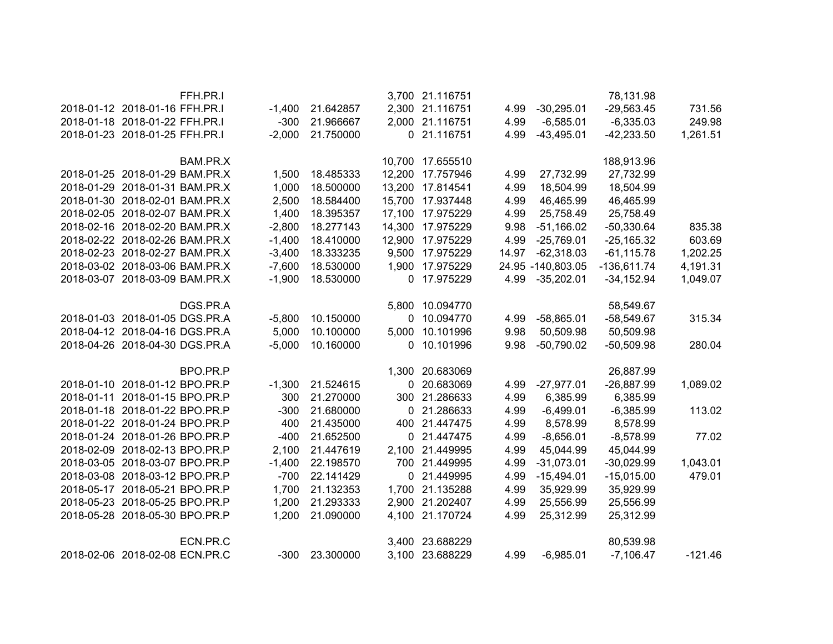|                                | FFH.PR.I |          |           |          | 3,700 21.116751  |       |                   | 78,131.98     |           |
|--------------------------------|----------|----------|-----------|----------|------------------|-------|-------------------|---------------|-----------|
| 2018-01-12 2018-01-16 FFH.PR.I |          | $-1,400$ | 21.642857 |          | 2,300 21.116751  | 4.99  | $-30,295.01$      | $-29,563.45$  | 731.56    |
| 2018-01-18 2018-01-22 FFH.PR.I |          | $-300$   | 21.966667 |          | 2,000 21.116751  | 4.99  | $-6,585.01$       | $-6,335.03$   | 249.98    |
| 2018-01-23 2018-01-25 FFH.PR.I |          | $-2,000$ | 21.750000 |          | 0 21.116751      | 4.99  | $-43,495.01$      | $-42,233.50$  | 1,261.51  |
|                                |          |          |           |          |                  |       |                   |               |           |
|                                | BAM.PR.X |          |           |          | 10,700 17.655510 |       |                   | 188,913.96    |           |
| 2018-01-25 2018-01-29 BAM.PR.X |          | 1,500    | 18.485333 | 12,200   | 17.757946        | 4.99  | 27,732.99         | 27,732.99     |           |
| 2018-01-29 2018-01-31 BAM.PR.X |          | 1,000    | 18.500000 |          | 13,200 17.814541 | 4.99  | 18,504.99         | 18,504.99     |           |
| 2018-01-30 2018-02-01 BAM.PR.X |          | 2,500    | 18.584400 |          | 15,700 17.937448 | 4.99  | 46,465.99         | 46,465.99     |           |
| 2018-02-05 2018-02-07 BAM.PR.X |          | 1,400    | 18.395357 |          | 17,100 17.975229 | 4.99  | 25,758.49         | 25,758.49     |           |
| 2018-02-16 2018-02-20 BAM.PR.X |          | $-2,800$ | 18.277143 | 14,300   | 17.975229        | 9.98  | $-51,166.02$      | $-50,330.64$  | 835.38    |
| 2018-02-22 2018-02-26 BAM.PR.X |          | $-1,400$ | 18.410000 | 12,900   | 17.975229        | 4.99  | $-25,769.01$      | $-25,165.32$  | 603.69    |
| 2018-02-23 2018-02-27 BAM.PR.X |          | $-3,400$ | 18.333235 | 9,500    | 17.975229        | 14.97 | $-62,318.03$      | $-61, 115.78$ | 1,202.25  |
| 2018-03-02 2018-03-06 BAM.PR.X |          | $-7,600$ | 18.530000 | 1,900    | 17.975229        |       | 24.95 -140,803.05 | $-136,611.74$ | 4,191.31  |
| 2018-03-07 2018-03-09 BAM.PR.X |          | $-1,900$ | 18.530000 |          | 0 17.975229      | 4.99  | $-35,202.01$      | $-34, 152.94$ | 1,049.07  |
|                                | DGS.PR.A |          |           | 5,800    | 10.094770        |       |                   | 58,549.67     |           |
| 2018-01-03 2018-01-05 DGS.PR.A |          | $-5,800$ | 10.150000 | $\Omega$ | 10.094770        | 4.99  | $-58,865.01$      | $-58,549.67$  | 315.34    |
| 2018-04-12 2018-04-16 DGS.PR.A |          | 5,000    | 10.100000 | 5,000    | 10.101996        | 9.98  | 50,509.98         | 50,509.98     |           |
| 2018-04-26 2018-04-30 DGS.PR.A |          | $-5,000$ | 10.160000 | 0        | 10.101996        | 9.98  | $-50,790.02$      | $-50,509.98$  | 280.04    |
|                                |          |          |           |          |                  |       |                   |               |           |
|                                | BPO.PR.P |          |           |          | 1,300 20.683069  |       |                   | 26,887.99     |           |
| 2018-01-10 2018-01-12 BPO.PR.P |          | $-1,300$ | 21.524615 |          | 0 20.683069      | 4.99  | $-27,977.01$      | $-26,887.99$  | 1,089.02  |
| 2018-01-11 2018-01-15 BPO.PR.P |          | 300      | 21.270000 |          | 300 21.286633    | 4.99  | 6,385.99          | 6,385.99      |           |
| 2018-01-18 2018-01-22 BPO.PR.P |          | $-300$   | 21.680000 |          | 0 21.286633      | 4.99  | $-6,499.01$       | $-6,385.99$   | 113.02    |
| 2018-01-22 2018-01-24 BPO.PR.P |          | 400      | 21.435000 |          | 400 21.447475    | 4.99  | 8,578.99          | 8,578.99      |           |
| 2018-01-24 2018-01-26 BPO.PR.P |          | $-400$   | 21.652500 |          | 0 21.447475      | 4.99  | $-8,656.01$       | $-8,578.99$   | 77.02     |
| 2018-02-09 2018-02-13 BPO.PR.P |          | 2,100    | 21.447619 |          | 2,100 21.449995  | 4.99  | 45,044.99         | 45,044.99     |           |
| 2018-03-05 2018-03-07 BPO.PR.P |          | $-1,400$ | 22.198570 |          | 700 21.449995    | 4.99  | $-31,073.01$      | $-30,029.99$  | 1,043.01  |
| 2018-03-08 2018-03-12 BPO.PR.P |          | $-700$   | 22.141429 |          | 0 21.449995      | 4.99  | $-15,494.01$      | $-15,015.00$  | 479.01    |
| 2018-05-17 2018-05-21 BPO.PR.P |          | 1,700    | 21.132353 |          | 1,700 21.135288  | 4.99  | 35,929.99         | 35,929.99     |           |
| 2018-05-23 2018-05-25 BPO.PR.P |          | 1,200    | 21.293333 |          | 2,900 21.202407  | 4.99  | 25,556.99         | 25,556.99     |           |
| 2018-05-28 2018-05-30 BPO.PR.P |          | 1,200    | 21.090000 | 4,100    | 21.170724        | 4.99  | 25,312.99         | 25,312.99     |           |
|                                |          |          |           |          |                  |       |                   |               |           |
|                                | ECN.PR.C |          |           |          | 3,400 23.688229  |       |                   | 80,539.98     |           |
| 2018-02-06 2018-02-08 ECN.PR.C |          | $-300$   | 23.300000 |          | 3,100 23.688229  | 4.99  | $-6,985.01$       | $-7,106.47$   | $-121.46$ |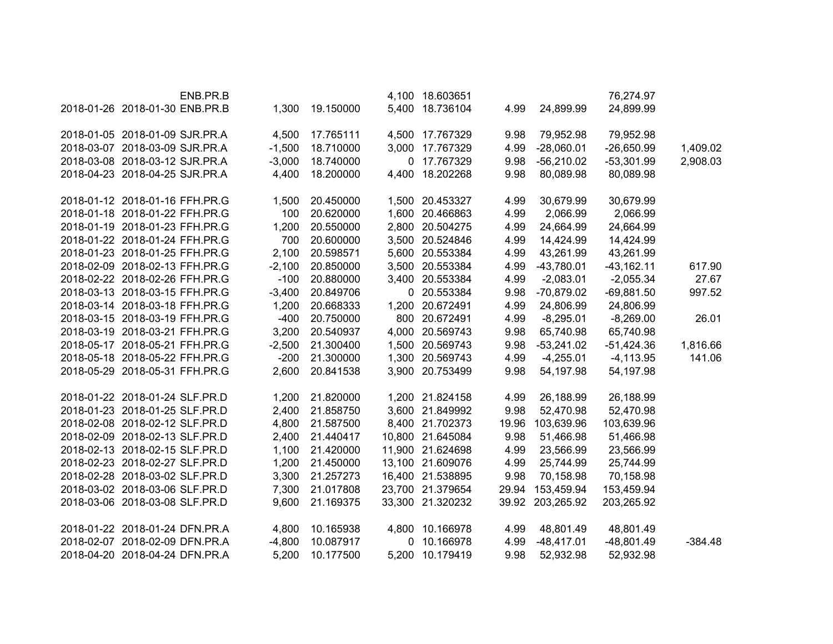| ENB.PR.B                       |          |           |       | 4,100 18.603651  |       |              | 76,274.97    |           |
|--------------------------------|----------|-----------|-------|------------------|-------|--------------|--------------|-----------|
| 2018-01-26 2018-01-30 ENB.PR.B | 1,300    | 19.150000 |       | 5,400 18.736104  | 4.99  | 24,899.99    | 24,899.99    |           |
|                                |          |           |       |                  |       |              |              |           |
| 2018-01-05 2018-01-09 SJR.PR.A | 4,500    | 17.765111 |       | 4,500 17.767329  | 9.98  | 79,952.98    | 79,952.98    |           |
| 2018-03-07 2018-03-09 SJR.PR.A | $-1,500$ | 18.710000 |       | 3,000 17.767329  | 4.99  | $-28,060.01$ | $-26,650.99$ | 1,409.02  |
| 2018-03-08 2018-03-12 SJR.PR.A | $-3,000$ | 18.740000 | 0     | 17.767329        | 9.98  | $-56,210.02$ | $-53,301.99$ | 2,908.03  |
| 2018-04-23 2018-04-25 SJR.PR.A | 4,400    | 18.200000 | 4,400 | 18.202268        | 9.98  | 80,089.98    | 80,089.98    |           |
|                                |          |           |       |                  |       |              |              |           |
| 2018-01-12 2018-01-16 FFH.PR.G | 1,500    | 20.450000 |       | 1,500 20.453327  | 4.99  | 30,679.99    | 30,679.99    |           |
| 2018-01-18 2018-01-22 FFH.PR.G | 100      | 20.620000 |       | 1,600 20.466863  | 4.99  | 2,066.99     | 2,066.99     |           |
| 2018-01-19 2018-01-23 FFH.PR.G | 1,200    | 20.550000 |       | 2,800 20.504275  | 4.99  | 24,664.99    | 24,664.99    |           |
| 2018-01-22 2018-01-24 FFH.PR.G | 700      | 20.600000 |       | 3,500 20.524846  | 4.99  | 14,424.99    | 14,424.99    |           |
| 2018-01-23 2018-01-25 FFH.PR.G | 2,100    | 20.598571 | 5,600 | 20.553384        | 4.99  | 43,261.99    | 43,261.99    |           |
| 2018-02-09 2018-02-13 FFH.PR.G | $-2,100$ | 20.850000 |       | 3,500 20.553384  | 4.99  | $-43,780.01$ | $-43,162.11$ | 617.90    |
| 2018-02-22 2018-02-26 FFH.PR.G | $-100$   | 20.880000 |       | 3,400 20.553384  | 4.99  | $-2,083.01$  | $-2,055.34$  | 27.67     |
| 2018-03-13 2018-03-15 FFH.PR.G | $-3,400$ | 20.849706 |       | 0 20.553384      | 9.98  | $-70,879.02$ | $-69,881.50$ | 997.52    |
| 2018-03-14 2018-03-18 FFH.PR.G | 1,200    | 20.668333 |       | 1,200 20.672491  | 4.99  | 24,806.99    | 24,806.99    |           |
| 2018-03-15 2018-03-19 FFH.PR.G | $-400$   | 20.750000 |       | 800 20.672491    | 4.99  | $-8,295.01$  | $-8,269.00$  | 26.01     |
| 2018-03-19 2018-03-21 FFH.PR.G | 3,200    | 20.540937 | 4,000 | 20.569743        | 9.98  | 65,740.98    | 65,740.98    |           |
| 2018-05-17 2018-05-21 FFH.PR.G | $-2,500$ | 21.300400 | 1,500 | 20.569743        | 9.98  | $-53,241.02$ | $-51,424.36$ | 1,816.66  |
| 2018-05-18 2018-05-22 FFH.PR.G | $-200$   | 21.300000 |       | 1,300 20.569743  | 4.99  | $-4,255.01$  | $-4,113.95$  | 141.06    |
| 2018-05-29 2018-05-31 FFH.PR.G | 2,600    | 20.841538 |       | 3,900 20.753499  | 9.98  | 54,197.98    | 54,197.98    |           |
|                                |          |           |       |                  |       |              |              |           |
| 2018-01-22 2018-01-24 SLF.PR.D | 1,200    | 21.820000 |       | 1,200 21.824158  | 4.99  | 26,188.99    | 26,188.99    |           |
| 2018-01-23 2018-01-25 SLF.PR.D | 2,400    | 21.858750 |       | 3,600 21.849992  | 9.98  | 52,470.98    | 52,470.98    |           |
| 2018-02-08 2018-02-12 SLF.PR.D | 4,800    | 21.587500 |       | 8,400 21.702373  | 19.96 | 103,639.96   | 103,639.96   |           |
| 2018-02-09 2018-02-13 SLF.PR.D | 2,400    | 21.440417 |       | 10,800 21.645084 | 9.98  | 51,466.98    | 51,466.98    |           |
| 2018-02-13 2018-02-15 SLF.PR.D | 1,100    | 21.420000 |       | 11,900 21.624698 | 4.99  | 23,566.99    | 23,566.99    |           |
| 2018-02-23 2018-02-27 SLF.PR.D | 1,200    | 21.450000 |       | 13,100 21.609076 | 4.99  | 25,744.99    | 25,744.99    |           |
| 2018-02-28 2018-03-02 SLF.PR.D | 3,300    | 21.257273 |       | 16,400 21.538895 | 9.98  | 70,158.98    | 70,158.98    |           |
| 2018-03-02 2018-03-06 SLF.PR.D | 7,300    | 21.017808 |       | 23,700 21.379654 | 29.94 | 153,459.94   | 153,459.94   |           |
| 2018-03-06 2018-03-08 SLF.PR.D | 9,600    | 21.169375 |       | 33,300 21.320232 | 39.92 | 203,265.92   | 203,265.92   |           |
|                                |          |           |       |                  |       |              |              |           |
| 2018-01-22 2018-01-24 DFN.PR.A | 4,800    | 10.165938 |       | 4,800 10.166978  | 4.99  | 48,801.49    | 48,801.49    |           |
| 2018-02-07 2018-02-09 DFN.PR.A | $-4,800$ | 10.087917 | 0     | 10.166978        | 4.99  | $-48,417.01$ | $-48,801.49$ | $-384.48$ |
| 2018-04-20 2018-04-24 DFN.PR.A | 5,200    | 10.177500 | 5,200 | 10.179419        | 9.98  | 52,932.98    | 52,932.98    |           |